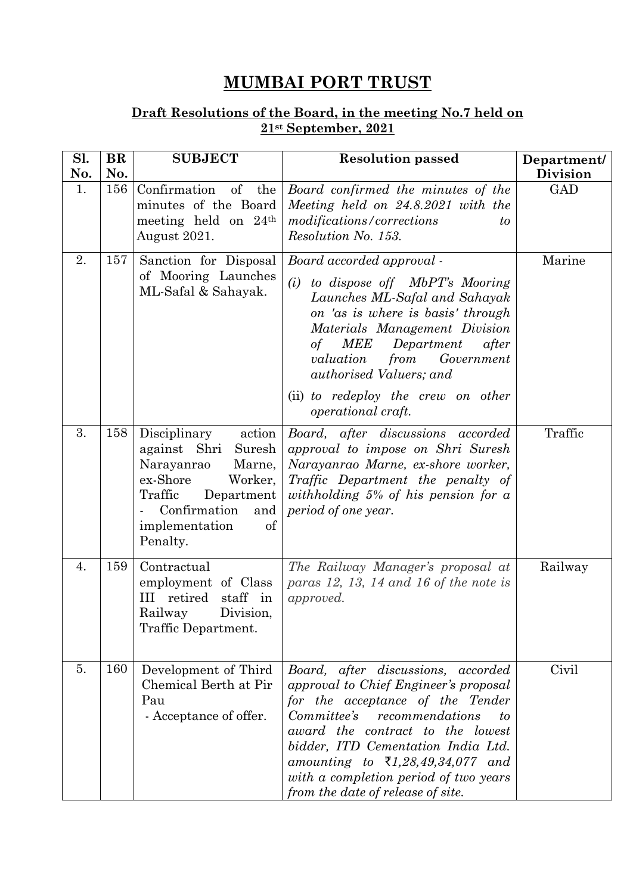## **MUMBAI PORT TRUST**

## **Draft Resolutions of the Board, in the meeting No.7 held on 21st September, 2021**

| Sl.<br>No. | <b>BR</b><br>No. | <b>SUBJECT</b>                                                                                                                                                                      | <b>Resolution passed</b>                                                                                                                                                                                                                                                                                                                                        | Department/<br><b>Division</b> |
|------------|------------------|-------------------------------------------------------------------------------------------------------------------------------------------------------------------------------------|-----------------------------------------------------------------------------------------------------------------------------------------------------------------------------------------------------------------------------------------------------------------------------------------------------------------------------------------------------------------|--------------------------------|
| 1.         | 156              | Confirmation<br>of<br>the<br>minutes of the Board<br>meeting held on $24th$<br>August 2021.                                                                                         | Board confirmed the minutes of the<br>Meeting held on 24.8.2021 with the<br>modifications/corrections<br>to<br>Resolution No. 153.                                                                                                                                                                                                                              | <b>GAD</b>                     |
| 2.         | 157              | Sanction for Disposal<br>of Mooring Launches<br>ML-Safal & Sahayak.                                                                                                                 | Board accorded approval -<br>(i)<br>to dispose off MbPT's Mooring<br>Launches ML-Safal and Sahayak<br>on 'as is where is basis' through<br>Materials Management Division<br><i>MEE</i><br>Department<br>of<br>after<br>valuation<br>from<br>Government<br>authorised Valuers; and                                                                               | Marine                         |
|            |                  |                                                                                                                                                                                     | (ii) to redeploy the crew on other<br>operational craft.                                                                                                                                                                                                                                                                                                        |                                |
| 3.         | 158              | Disciplinary<br>action<br>Suresh<br>against Shri<br>Narayanrao<br>Marne,<br>ex-Shore<br>Worker,<br>Traffic<br>Department<br>Confirmation<br>and<br>implementation<br>of<br>Penalty. | Board, after discussions accorded<br>approval to impose on Shri Suresh<br>Narayanrao Marne, ex-shore worker,<br>Traffic Department the penalty of<br>withholding $5\%$ of his pension for a<br>period of one year.                                                                                                                                              | Traffic                        |
| 4.         | 159              | Contractual<br>employment of Class<br>III retired<br>staff in<br>Railway<br>Division,<br>Traffic Department.                                                                        | The Railway Manager's proposal at<br>paras $12$ , $13$ , $14$ and $16$ of the note is<br>approved.                                                                                                                                                                                                                                                              | Railway                        |
| 5.         | 160              | Development of Third<br>Chemical Berth at Pir<br>Pau<br>- Acceptance of offer.                                                                                                      | Board, after discussions, accorded<br>approval to Chief Engineer's proposal<br>for the acceptance of the Tender<br>Committee's<br>recommendations<br>to<br>award the contract to the lowest<br>bidder, ITD Cementation India Ltd.<br>amounting to $\bar{\tau}$ 1,28,49,34,077 and<br>with a completion period of two years<br>from the date of release of site. | Civil                          |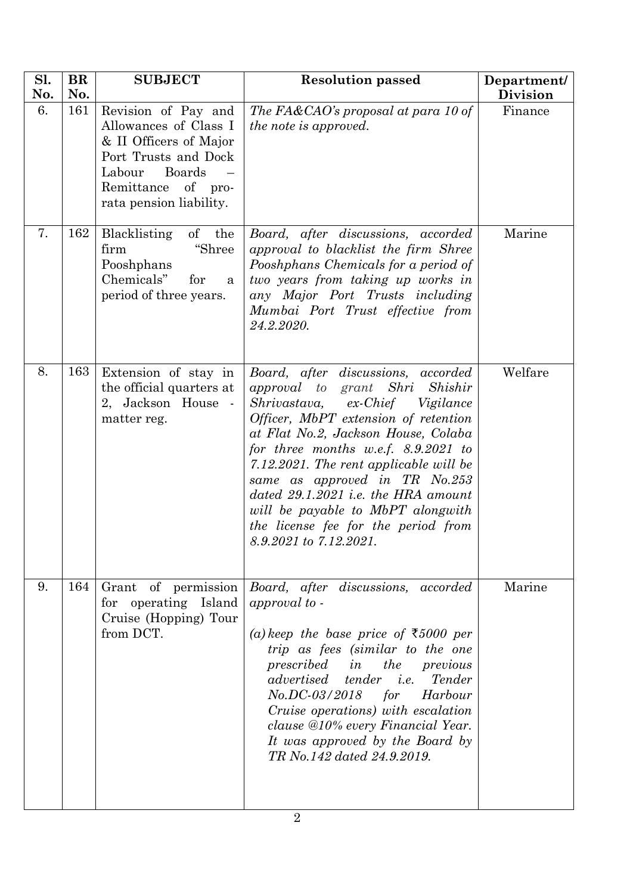| Sl.<br>No. | <b>BR</b><br>No. | <b>SUBJECT</b>                                                                                                                                                             | <b>Resolution passed</b>                                                                                                                                                                                                                                                                                                                                                                                                                                             | Department/<br><b>Division</b> |
|------------|------------------|----------------------------------------------------------------------------------------------------------------------------------------------------------------------------|----------------------------------------------------------------------------------------------------------------------------------------------------------------------------------------------------------------------------------------------------------------------------------------------------------------------------------------------------------------------------------------------------------------------------------------------------------------------|--------------------------------|
| 6.         | 161              | Revision of Pay and<br>Allowances of Class I<br>& II Officers of Major<br>Port Trusts and Dock<br><b>Boards</b><br>Labour<br>Remittance of pro-<br>rata pension liability. | The FA&CAO's proposal at para 10 of<br><i>the note is approved.</i>                                                                                                                                                                                                                                                                                                                                                                                                  | Finance                        |
| 7.         | 162              | $\sigma f$<br>Blacklisting<br>the<br>"Shree<br>firm<br>Pooshphans<br>Chemicals"<br>for<br>a<br>period of three years.                                                      | Board, after discussions, accorded<br>approval to blacklist the firm Shree<br>Pooshphans Chemicals for a period of<br>two years from taking up works in<br>any Major Port Trusts including<br>Mumbai Port Trust effective from<br>24.2.2020.                                                                                                                                                                                                                         | Marine                         |
| 8.         | 163              | Extension of stay in<br>the official quarters at<br>2, Jackson House -<br>matter reg.                                                                                      | Board, after discussions, accorded<br>approval to grant Shri<br>Shishir<br>Shrivastava,<br>ex-Chief Vigilance<br><i>Officer, MbPT extension of retention</i><br>at Flat No.2, Jackson House, Colaba<br>for three months w.e.f. $8.9.2021$ to<br>7.12.2021. The rent applicable will be<br>same as approved in TR No.253<br>dated 29.1.2021 i.e. the HRA amount<br>will be payable to MbPT alongwith<br>the license fee for the period from<br>8.9.2021 to 7.12.2021. | Welfare                        |
| 9.         | 164              | for operating Island<br>Cruise (Hopping) Tour<br>from DCT.                                                                                                                 | Grant of permission <i>Board</i> , <i>after discussions</i> , <i>accorded</i><br>approval to -<br>(a) keep the base price of ₹5000 per<br>trip as fees (similar to the one<br>prescribed in the<br>previous<br>advertised tender <i>i.e.</i> Tender<br>No.DC-03/2018 for Harbour<br>Cruise operations) with escalation<br>clause @10% every Financial Year.<br>It was approved by the Board by<br>TR No.142 dated 24.9.2019.                                         | Marine                         |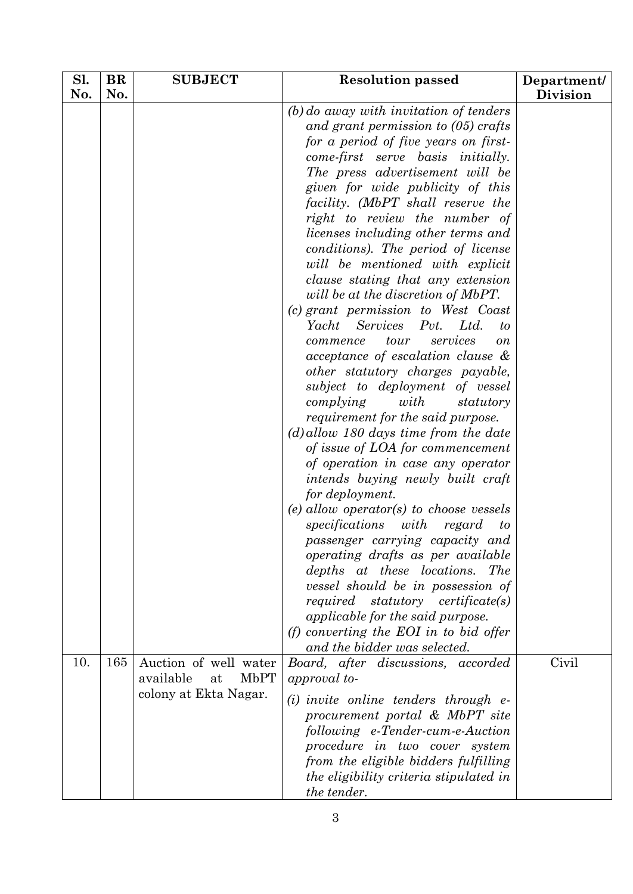| Sl. | <b>BR</b> | <b>SUBJECT</b>                                                                   | <b>Resolution passed</b>                                                                                                                                                                                                                                                                                                                                                                                                                                                                                                                                                                                                                                                                                                                                                                                                                                                                                                                                                                                                                                                                                                                    | Department/ |
|-----|-----------|----------------------------------------------------------------------------------|---------------------------------------------------------------------------------------------------------------------------------------------------------------------------------------------------------------------------------------------------------------------------------------------------------------------------------------------------------------------------------------------------------------------------------------------------------------------------------------------------------------------------------------------------------------------------------------------------------------------------------------------------------------------------------------------------------------------------------------------------------------------------------------------------------------------------------------------------------------------------------------------------------------------------------------------------------------------------------------------------------------------------------------------------------------------------------------------------------------------------------------------|-------------|
|     |           |                                                                                  |                                                                                                                                                                                                                                                                                                                                                                                                                                                                                                                                                                                                                                                                                                                                                                                                                                                                                                                                                                                                                                                                                                                                             |             |
| No. | No.       |                                                                                  | $(b)$ do away with invitation of tenders<br>and grant permission to $(05)$ crafts<br>for a period of five years on first-<br>come-first serve basis initially.<br>The press advertisement will be<br>given for wide publicity of this<br>facility. (MbPT shall reserve the<br>right to review the number of<br>licenses including other terms and<br>conditions). The period of license<br>will be mentioned with explicit<br>clause stating that any extension<br>will be at the discretion of MbPT.<br>(c) grant permission to West Coast<br>Yacht<br><b>Services</b><br>Ltd.<br>Pvt.<br>to<br>services<br>tour<br>commence<br>$\overline{on}$<br>acceptance of escalation clause &<br>other statutory charges payable,<br>subject to deployment of vessel<br>complying<br>with<br>statutory<br>requirement for the said purpose.<br>$(d)$ allow 180 days time from the date<br>of issue of LOA for commencement<br>of operation in case any operator<br>intends buying newly built craft<br>for deployment.<br>(e) allow operator(s) to choose vessels<br>specifications<br>with<br>regard<br>$\iota$<br>passenger carrying capacity and | Division    |
|     |           |                                                                                  | operating drafts as per available<br>depths at these locations. The<br>vessel should be in possession of<br>required statutory certificate(s)<br>applicable for the said purpose.<br>(f) converting the EOI in to bid offer<br>and the bidder was selected.                                                                                                                                                                                                                                                                                                                                                                                                                                                                                                                                                                                                                                                                                                                                                                                                                                                                                 |             |
| 10. | 165       | Auction of well water<br><b>MbPT</b><br>available<br>at<br>colony at Ekta Nagar. | Board, after discussions, accorded<br>approval to-<br>$(i)$ invite online tenders through $e$ -<br>procurement portal & MbPT site<br>following e-Tender-cum-e-Auction<br>procedure in two cover system<br>from the eligible bidders fulfilling<br>the eligibility criteria stipulated in<br>the tender.                                                                                                                                                                                                                                                                                                                                                                                                                                                                                                                                                                                                                                                                                                                                                                                                                                     | Civil       |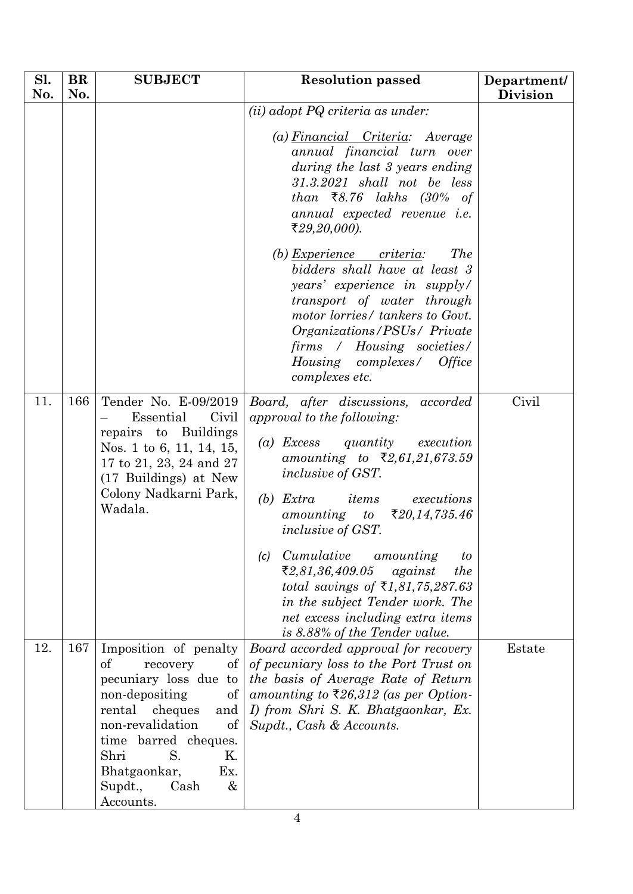| Sl.<br>No. | <b>BR</b><br>No. | <b>SUBJECT</b>                                                                                                                                                                                                                                                          | <b>Resolution passed</b>                                                                                                                                                                                                                                                                                                                                                                                                                                                                                                    | Department/<br><b>Division</b> |
|------------|------------------|-------------------------------------------------------------------------------------------------------------------------------------------------------------------------------------------------------------------------------------------------------------------------|-----------------------------------------------------------------------------------------------------------------------------------------------------------------------------------------------------------------------------------------------------------------------------------------------------------------------------------------------------------------------------------------------------------------------------------------------------------------------------------------------------------------------------|--------------------------------|
|            |                  |                                                                                                                                                                                                                                                                         | (ii) adopt PQ criteria as under:<br>(a) Financial Criteria: Average<br>annual financial turn over<br>during the last 3 years ending<br>$31.3.2021$ shall not be less<br>than $\bar{\xi}8.76$ lakhs (30% of<br>annual expected revenue <i>i.e.</i><br>₹29,20,000).<br>(b) Experience criteria:<br><i>The</i><br>bidders shall have at least 3<br>years' experience in supply/<br>transport of water through<br>motor lorries/ tankers to Govt.<br>Organizations/PSUs/ Private<br>firms / Housing societies/                  |                                |
| 11.        | 166              | Tender No. E-09/2019<br>Civil<br>Essential<br>repairs to Buildings<br>Nos. 1 to 6, 11, 14, 15,<br>17 to 21, 23, 24 and 27<br>(17 Buildings) at New<br>Colony Nadkarni Park,<br>Wadala.                                                                                  | Housing complexes/ Office<br>complexes etc.<br>Board, after discussions, accorded<br>approval to the following:<br>(a) Excess quantity execution<br>amounting to ₹2,61,21,673.59<br><i>inclusive of GST.</i><br>$(b)$ Extra<br>items<br>executions<br>₹20,14,735.46<br>amounting<br>to<br><i>inclusive of GST.</i><br>Cumulative<br>amounting<br>(c)<br>$\iota$<br>₹2,81,36,409.05<br>against<br>the<br>total savings of $\bar{\tau}$ 1,81,75,287.63<br>in the subject Tender work. The<br>net excess including extra items | Civil                          |
| 12.        | 167              | Imposition of penalty<br>of<br>recovery<br>$\sigma$<br>pecuniary loss due to<br>non-depositing<br>of  <br>rental<br>cheques<br>and<br>non-revalidation<br>οf<br>time barred cheques.<br>Shri<br>S.<br>Κ.<br>Bhatgaonkar,<br>Ex.<br>$\&$<br>Supdt.,<br>Cash<br>Accounts. | is 8.88% of the Tender value.<br>Board accorded approval for recovery<br>of pecuniary loss to the Port Trust on<br>the basis of Average Rate of Return<br>amounting to $\bar{\xi}26,312$ (as per Option-<br>I) from Shri S. K. Bhatgaonkar, Ex.<br>Supdt., Cash & Accounts.                                                                                                                                                                                                                                                 | Estate                         |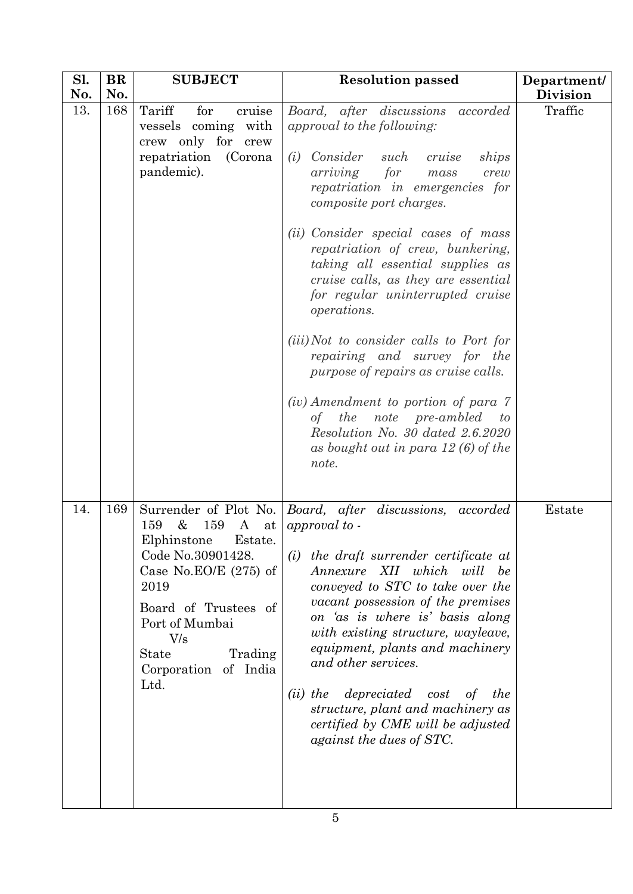| Sl.<br>No. | BR<br>No. | <b>SUBJECT</b>                                                                                                                                                                                                                    | <b>Resolution passed</b>                                                                                                                                                                                                                                                                                                                                                                                                                                                                                                                                                                                                                                                                                               | Department/<br><b>Division</b> |
|------------|-----------|-----------------------------------------------------------------------------------------------------------------------------------------------------------------------------------------------------------------------------------|------------------------------------------------------------------------------------------------------------------------------------------------------------------------------------------------------------------------------------------------------------------------------------------------------------------------------------------------------------------------------------------------------------------------------------------------------------------------------------------------------------------------------------------------------------------------------------------------------------------------------------------------------------------------------------------------------------------------|--------------------------------|
| 13.        | 168       | Tariff<br>for<br>cruise<br>vessels coming with<br>crew only for crew<br>repatriation<br>(Corona<br>pandemic).                                                                                                                     | Board, after discussions accorded<br>approval to the following:<br>Consider such cruise<br>(i)<br>ships<br>for<br>arriving<br>mass<br>crew<br>repatriation in emergencies for<br>composite port charges.<br>(ii) Consider special cases of mass<br>repatriation of crew, bunkering,<br>taking all essential supplies as<br>cruise calls, as they are essential<br>for regular uninterrupted cruise<br>operations.<br>( <i>iii</i> )Not to consider calls to Port for<br>repairing and survey for the<br>purpose of repairs as cruise calls.<br>(iv) Amendment to portion of para 7<br>of the note pre-ambled<br>$\boldsymbol{to}$<br>Resolution No. 30 dated 2.6.2020<br>as bought out in para $12(6)$ of the<br>note. | Traffic                        |
| 14.        | 169       | $\&$<br>159<br>159<br>$\mathbf{A}$<br>at  <br>Elphinstone<br>Estate.<br>Code No.30901428.<br>Case No.EO/E $(275)$ of<br>2019<br>Board of Trustees of<br>Port of Mumbai<br>V/s<br>Trading<br>State<br>Corporation of India<br>Ltd. | Surrender of Plot No.   Board, after discussions, accorded<br>approval to -<br>the draft surrender certificate at<br>(i)<br>Annexure XII which will be<br>conveyed to STC to take over the<br>vacant possession of the premises<br>on 'as is where is' basis along<br>with existing structure, wayleave,<br>equipment, plants and machinery<br>and other services.<br>depreciated cost<br>$(ii)$ the<br>the<br>of<br>structure, plant and machinery as<br>certified by CME will be adjusted<br>against the dues of STC.                                                                                                                                                                                                | Estate                         |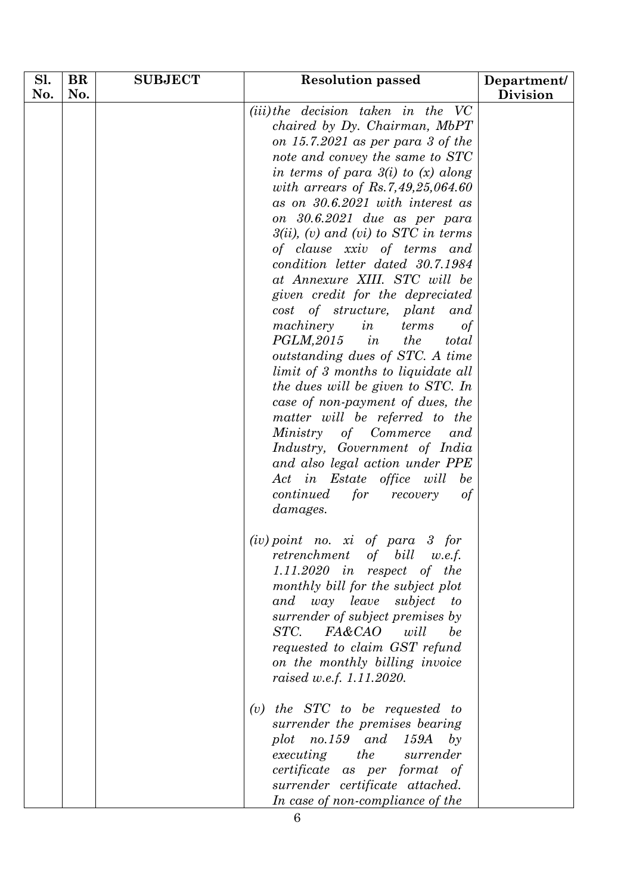| Sl. | <b>BR</b> | <b>SUBJECT</b> | <b>Resolution passed</b>                                                                                                                                                                                                                                                                                                                                                                                                                                                                                                                                                                                                                                                                                                                                                                                                                                                                                                                                                       | Department/     |
|-----|-----------|----------------|--------------------------------------------------------------------------------------------------------------------------------------------------------------------------------------------------------------------------------------------------------------------------------------------------------------------------------------------------------------------------------------------------------------------------------------------------------------------------------------------------------------------------------------------------------------------------------------------------------------------------------------------------------------------------------------------------------------------------------------------------------------------------------------------------------------------------------------------------------------------------------------------------------------------------------------------------------------------------------|-----------------|
| No. | No.       |                |                                                                                                                                                                                                                                                                                                                                                                                                                                                                                                                                                                                                                                                                                                                                                                                                                                                                                                                                                                                | <b>Division</b> |
|     |           |                | (iii) the decision taken in the VC<br>chaired by Dy. Chairman, MbPT<br>on $15.7.2021$ as per para 3 of the<br>note and convey the same to STC<br>in terms of para $3(i)$ to $(x)$ along<br>with arrears of Rs.7,49,25,064.60<br>as on 30.6.2021 with interest as<br>on 30.6.2021 due as per para<br>$3(ii)$ , (v) and (vi) to STC in terms<br>of clause xxiv of terms and<br>condition letter dated 30.7.1984<br>at Annexure XIII. STC will be<br>given credit for the depreciated<br>cost of structure, plant<br>and<br>machinery<br>in<br>terms<br>$\sigma f$<br>$PGLM, 2015$ in<br>the<br>total<br>outstanding dues of STC. A time<br>limit of 3 months to liquidate all<br>the dues will be given to STC. In<br>case of non-payment of dues, the<br>matter will be referred to the<br>Ministry of Commerce<br>and<br>Industry, Government of India<br>and also legal action under PPE<br>Act in Estate office will<br>be<br>continued<br>for<br>recovery<br>of<br>damages. |                 |
|     |           |                | $(iv)$ point no. xi of para 3 for<br>retrenchment of bill<br>w.e.f.<br>$1.11.2020$ in respect of the<br>monthly bill for the subject plot<br>subject<br>and<br>way leave<br>$\boldsymbol{\mathit{to}}$<br>surrender of subject premises by<br>will<br>STC.<br><i>FA&amp;CAO</i><br>be<br>requested to claim GST refund<br>on the monthly billing invoice<br>raised w.e.f. 1.11.2020.                                                                                                                                                                                                                                                                                                                                                                                                                                                                                                                                                                                           |                 |
|     |           |                | <i>the STC to be requested to</i><br>(v)<br>surrender the premises bearing<br>no.159 and 159A<br>$b\mathfrak{y}$<br>plot<br>executing<br>the<br>surrender<br>certificate as per format of<br>surrender certificate attached.<br>In case of non-compliance of the                                                                                                                                                                                                                                                                                                                                                                                                                                                                                                                                                                                                                                                                                                               |                 |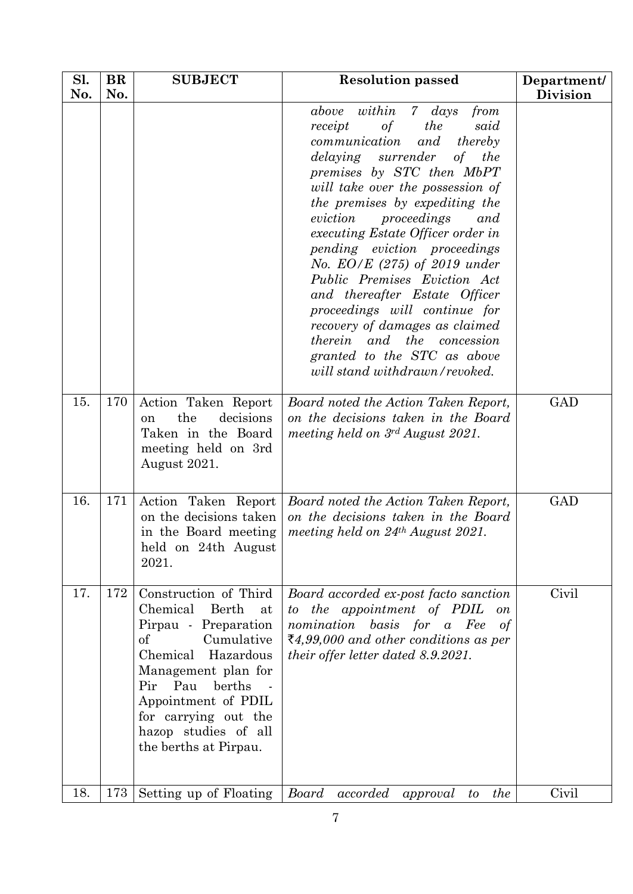| Sl.<br>No. | <b>BR</b><br>No. | <b>SUBJECT</b>                                                                                                                                                                                                                                                         | <b>Resolution passed</b>                                                                                                                                                                                                                                                                                                                                                                                                                                                                                                                                                                                                              | Department/<br><b>Division</b> |
|------------|------------------|------------------------------------------------------------------------------------------------------------------------------------------------------------------------------------------------------------------------------------------------------------------------|---------------------------------------------------------------------------------------------------------------------------------------------------------------------------------------------------------------------------------------------------------------------------------------------------------------------------------------------------------------------------------------------------------------------------------------------------------------------------------------------------------------------------------------------------------------------------------------------------------------------------------------|--------------------------------|
|            |                  |                                                                                                                                                                                                                                                                        | above within 7 days<br>from<br>the<br>receipt<br>$\sigma f$<br>said<br>communication<br>and<br>thereby<br><i>delaying</i> surrender<br>of<br>the<br>premises by STC then MbPT<br>will take over the possession of<br>the premises by expediting the<br>eviction<br>proceedings<br>and<br>executing Estate Officer order in<br>pending eviction proceedings<br>No. $EO/E$ (275) of 2019 under<br>Public Premises Eviction Act<br>and thereafter Estate Officer<br>proceedings will continue for<br>recovery of damages as claimed<br><i>therein</i> and the concession<br>granted to the STC as above<br>will stand withdrawn/revoked. |                                |
| 15.        | 170              | Action Taken Report<br>the<br>decisions<br><sub>on</sub><br>Taken in the Board<br>meeting held on 3rd<br>August 2021.                                                                                                                                                  | Board noted the Action Taken Report,<br>on the decisions taken in the Board<br>meeting held on $3^{rd}$ August 2021.                                                                                                                                                                                                                                                                                                                                                                                                                                                                                                                  | GAD                            |
| 16.        | 171              | Action Taken Report<br>on the decisions taken<br>in the Board meeting<br>held on 24th August<br>2021.                                                                                                                                                                  | Board noted the Action Taken Report,<br>on the decisions taken in the Board<br>meeting held on $24th$ August 2021.                                                                                                                                                                                                                                                                                                                                                                                                                                                                                                                    | <b>GAD</b>                     |
| 17.        | 172              | Construction of Third<br>Chemical<br>Berth<br>at<br>Pirpau - Preparation<br>$\sigma f$<br>Cumulative<br>Chemical Hazardous<br>Management plan for<br>Pir Pau<br>berths<br>Appointment of PDIL<br>for carrying out the<br>hazop studies of all<br>the berths at Pirpau. | Board accorded ex-post facto sanction<br>to the appointment of PDIL<br><b>on</b><br>nomination<br>basis for a Fee<br>$\sigma f$<br>₹4,99,000 and other conditions as per<br><i>their offer letter dated 8.9.2021.</i>                                                                                                                                                                                                                                                                                                                                                                                                                 | Civil                          |
| 18.        | 173              | Setting up of Floating                                                                                                                                                                                                                                                 | Board<br>accorded<br>the<br>approval<br>to                                                                                                                                                                                                                                                                                                                                                                                                                                                                                                                                                                                            | Civil                          |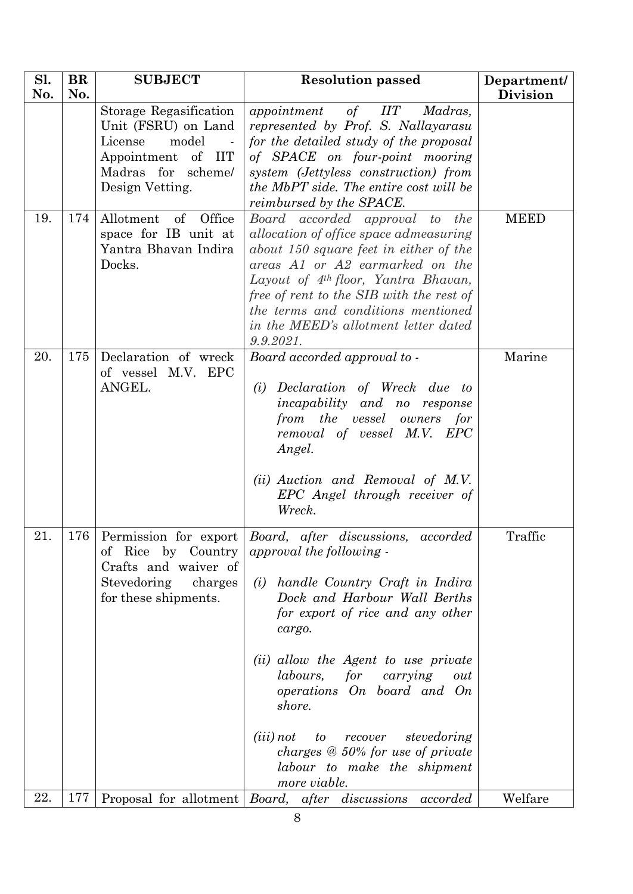| Sl. | <b>BR</b> | <b>SUBJECT</b>                                                                                                                             | <b>Resolution passed</b>                                                                                                                                                                                                                                                                                                                                                                                                                                                | Department/     |
|-----|-----------|--------------------------------------------------------------------------------------------------------------------------------------------|-------------------------------------------------------------------------------------------------------------------------------------------------------------------------------------------------------------------------------------------------------------------------------------------------------------------------------------------------------------------------------------------------------------------------------------------------------------------------|-----------------|
| No. | No.       |                                                                                                                                            |                                                                                                                                                                                                                                                                                                                                                                                                                                                                         | <b>Division</b> |
|     |           | Storage Regasification<br>Unit (FSRU) on Land<br>License<br>model<br>Appointment of<br><b>IIT</b><br>Madras for scheme/<br>Design Vetting. | appointment<br>of $IIT$<br>Madras,<br>represented by Prof. S. Nallayarasu<br>for the detailed study of the proposal<br>of SPACE on four-point mooring<br>system (Jettyless construction) from<br>the MbPT side. The entire cost will be<br>reimbursed by the SPACE.                                                                                                                                                                                                     |                 |
| 19. | 174       | Allotment<br>of Office<br>space for IB unit at<br>Yantra Bhavan Indira<br>Docks.                                                           | Board accorded approval to the<br>allocation of office space admeasuring<br>about 150 square feet in either of the<br>areas A1 or A2 earmarked on the<br>Layout of $4^{th}$ floor, Yantra Bhavan,<br>free of rent to the SIB with the rest of<br>the terms and conditions mentioned<br>in the MEED's allotment letter dated<br>9.9.2021.                                                                                                                                | <b>MEED</b>     |
| 20. | 175       | Declaration of wreck<br>of vessel M.V. EPC<br>ANGEL.                                                                                       | Board accorded approval to -<br>Declaration of Wreck due to<br>(i)<br><i>incapability</i> and no response<br>from the vessel owners<br>for<br>removal of vessel M.V. EPC<br>Angel.<br>(ii) Auction and Removal of M.V.<br>EPC Angel through receiver of<br>Wreck.                                                                                                                                                                                                       | Marine          |
| 21. | 176       | by Country<br>Rice<br>οf<br>Crafts and waiver of<br>Stevedoring<br>charges<br>for these shipments.                                         | Permission for export Board, after discussions,<br>accorded<br>approval the following -<br>handle Country Craft in Indira<br>(i)<br>Dock and Harbour Wall Berths<br>for export of rice and any other<br>cargo.<br>(ii) allow the Agent to use private<br>for<br>labours,<br>carrying<br>out<br>operations On board and On<br>shore.<br>stevedoring<br>$(iii)$ not<br>to<br>recover<br>charges $@$ 50% for use of private<br>labour to make the shipment<br>more viable. | Traffic         |
| 22. | 177       |                                                                                                                                            | Proposal for allotment Board, after discussions<br>accorded                                                                                                                                                                                                                                                                                                                                                                                                             | Welfare         |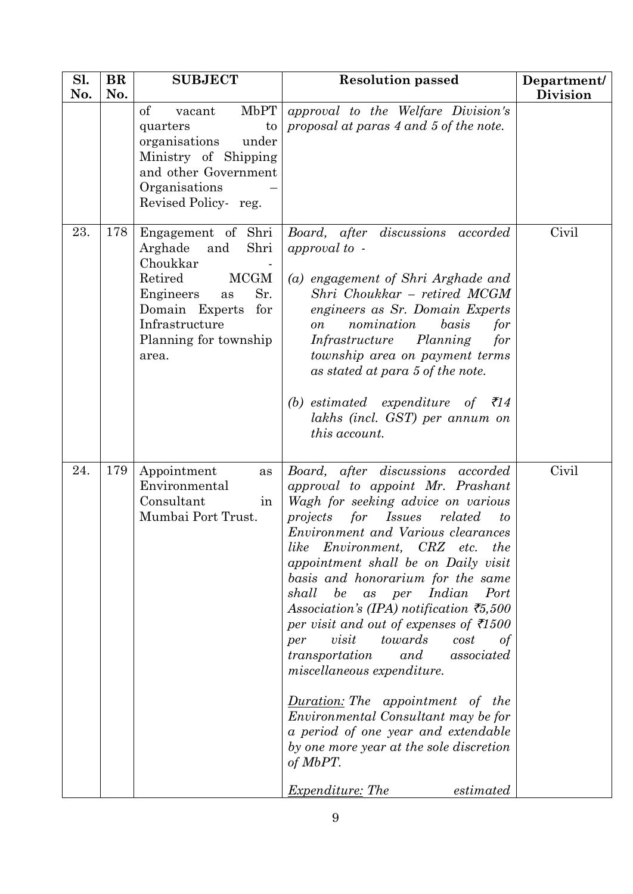| Sl. | <b>BR</b> | <b>SUBJECT</b>                                                                                                                                                                            | <b>Resolution passed</b>                                                                                                                                                                                                                                                                                                                                                                                                                                                                                                                                                                                                                                                                                                                                                                                                     | Department/     |
|-----|-----------|-------------------------------------------------------------------------------------------------------------------------------------------------------------------------------------------|------------------------------------------------------------------------------------------------------------------------------------------------------------------------------------------------------------------------------------------------------------------------------------------------------------------------------------------------------------------------------------------------------------------------------------------------------------------------------------------------------------------------------------------------------------------------------------------------------------------------------------------------------------------------------------------------------------------------------------------------------------------------------------------------------------------------------|-----------------|
| No. | No.       | of<br>MbPT<br>vacant<br>quarters<br>to<br>organisations<br>under<br>Ministry of Shipping<br>and other Government<br>Organisations<br>Revised Policy-reg.                                  | approval to the Welfare Division's<br>proposal at paras 4 and 5 of the note.                                                                                                                                                                                                                                                                                                                                                                                                                                                                                                                                                                                                                                                                                                                                                 | <b>Division</b> |
| 23. | 178       | Engagement of Shri<br>Shri<br>Arghade<br>and<br>Choukkar<br>Retired<br><b>MCGM</b><br>Sr.<br>Engineers<br>as<br>for<br>Domain Experts<br>Infrastructure<br>Planning for township<br>area. | Board, after discussions<br>accorded<br>approval to -<br>(a) engagement of Shri Arghade and<br>Shri Choukkar – retired MCGM<br>engineers as Sr. Domain Experts<br>nomination<br>basis<br>for<br><sub>on</sub><br>Infrastructure Planning<br>for<br>township area on payment terms<br>as stated at para 5 of the note.<br>(b) estimated expenditure of<br>₹14<br>lakhs (incl. GST) per annum on<br>this account.                                                                                                                                                                                                                                                                                                                                                                                                              | Civil           |
| 24. | 179       | Appointment<br>as<br>Environmental<br>Consultant<br>in<br>Mumbai Port Trust.                                                                                                              | Board, after discussions accorded<br>approval to appoint Mr. Prashant<br>Wagh for seeking advice on various<br><i>Issues</i><br>projects<br>for<br>related<br>to<br>Environment and Various clearances<br>like<br>Environment, CRZ etc.<br>the<br>appointment shall be on Daily visit<br>basis and honorarium for the same<br>be as per<br>Indian<br>Port<br>shall<br>Association's (IPA) notification $\bar{z}$ 5,500<br>per visit and out of expenses of $\bar{\tau}$ 1500<br>visit<br>towards<br>cost<br>per<br>of<br>and<br>associated<br>transportation<br>miscellaneous expenditure.<br><b>Duration:</b> The appointment of<br><i>the</i><br>Environmental Consultant may be for<br>a period of one year and extendable<br>by one more year at the sole discretion<br>of MbPT.<br>estimated<br><i>Expenditure: The</i> | Civil           |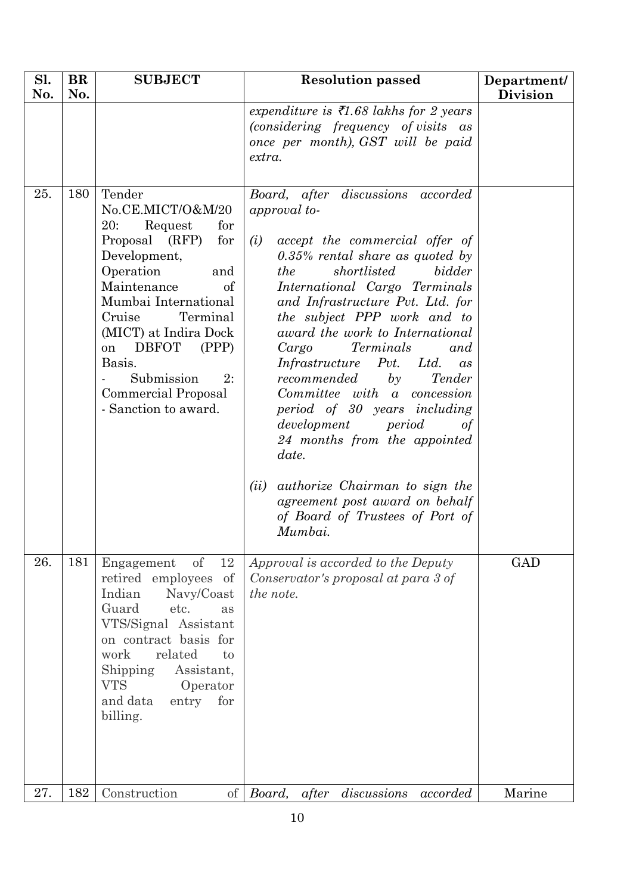| Sl.<br>No. | <b>BR</b><br>No. | <b>SUBJECT</b>                                                                                                                                                                                                                                                                                                            | <b>Resolution passed</b>                                                                                                                                                                                                                                                                                                                                                                                                                                                                                                                                                                                                                                                                             | Department/<br><b>Division</b> |
|------------|------------------|---------------------------------------------------------------------------------------------------------------------------------------------------------------------------------------------------------------------------------------------------------------------------------------------------------------------------|------------------------------------------------------------------------------------------------------------------------------------------------------------------------------------------------------------------------------------------------------------------------------------------------------------------------------------------------------------------------------------------------------------------------------------------------------------------------------------------------------------------------------------------------------------------------------------------------------------------------------------------------------------------------------------------------------|--------------------------------|
|            |                  |                                                                                                                                                                                                                                                                                                                           | expenditure is $\bar{\tau}$ 1.68 lakhs for 2 years<br>(considering frequency of visits as<br>once per month), GST will be paid<br>extra.                                                                                                                                                                                                                                                                                                                                                                                                                                                                                                                                                             |                                |
| 25.        | 180              | Tender<br>No.CE.MICT/O&M/20<br>Request<br>20:<br>for<br>Proposal (RFP)<br>for<br>Development,<br>Operation<br>and<br>Maintenance<br>of<br>Mumbai International<br>Terminal<br>Cruise<br>(MICT) at Indira Dock<br><b>DBFOT</b><br>(PPP)<br>on<br>Basis.<br>Submission<br>2:<br>Commercial Proposal<br>- Sanction to award. | Board, after discussions<br>accorded<br>approval to-<br>accept the commercial offer of<br>(i)<br>$0.35\%$ rental share as quoted by<br>shortlisted<br>bidder<br>the<br>International Cargo Terminals<br>and Infrastructure Pvt. Ltd. for<br>the subject PPP work and to<br>award the work to International<br>Terminals<br>Cargo<br>and<br>Pvt.<br>Infrastructure<br>Ltd.<br>$\mathfrak{a}$ s<br>recommended<br>by<br>Tender<br>Committee with a concession<br>period of 30 years including<br>development<br>period<br>of<br>24 months from the appointed<br>date.<br><i>authorize</i> Chairman to sign the<br>(ii)<br>agreement post award on behalf<br>of Board of Trustees of Port of<br>Mumbai. |                                |
| 26.        | 181              | Engagement<br>of<br>12<br>retired employees of<br>Indian<br>Navy/Coast<br>Guard<br>etc.<br>as<br>VTS/Signal Assistant<br>on contract basis for<br>related<br>work<br>to<br>Shipping<br>Assistant,<br><b>VTS</b><br>Operator<br>and data<br>entry<br>for<br>billing.                                                       | Approval is accorded to the Deputy<br>Conservator's proposal at para 3 of<br>the note.                                                                                                                                                                                                                                                                                                                                                                                                                                                                                                                                                                                                               | GAD                            |
| 27.        | 182              | Construction<br>$\sigma$                                                                                                                                                                                                                                                                                                  | discussions<br>Board, after<br>accorded                                                                                                                                                                                                                                                                                                                                                                                                                                                                                                                                                                                                                                                              | Marine                         |